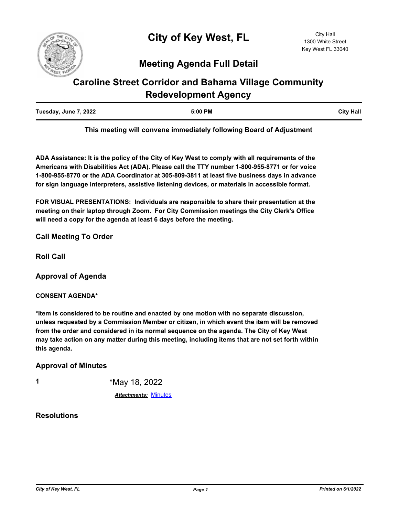

# **Meeting Agenda Full Detail**

# **Caroline Street Corridor and Bahama Village Community Redevelopment Agency**

| Tuesday, June 7, 2022 | 5:00 PM | <b>City Hall</b> |
|-----------------------|---------|------------------|
|                       |         |                  |

**This meeting will convene immediately following Board of Adjustment**

**ADA Assistance: It is the policy of the City of Key West to comply with all requirements of the Americans with Disabilities Act (ADA). Please call the TTY number 1-800-955-8771 or for voice 1-800-955-8770 or the ADA Coordinator at 305-809-3811 at least five business days in advance for sign language interpreters, assistive listening devices, or materials in accessible format.**

**FOR VISUAL PRESENTATIONS: Individuals are responsible to share their presentation at the meeting on their laptop through Zoom. For City Commission meetings the City Clerk's Office will need a copy for the agenda at least 6 days before the meeting.**

### **Call Meeting To Order**

**Roll Call**

**Approval of Agenda**

#### **CONSENT AGENDA\***

**\*Item is considered to be routine and enacted by one motion with no separate discussion, unless requested by a Commission Member or citizen, in which event the item will be removed from the order and considered in its normal sequence on the agenda. The City of Key West may take action on any matter during this meeting, including items that are not set forth within this agenda.**

#### **Approval of Minutes**

| ٦<br>٧ |  |
|--------|--|
|        |  |
|        |  |
|        |  |

**1** \*May 18, 2022

*Attachments:* [Minutes](http://KeyWest.legistar.com/gateway.aspx?M=F&ID=6798304c-5fd0-4be0-a6a1-ea6f57d86a21.pdf)

## **Resolutions**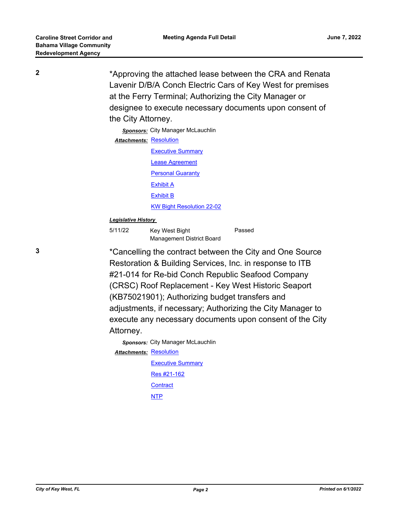**2** \*Approving the attached lease between the CRA and Renata Lavenir D/B/A Conch Electric Cars of Key West for premises at the Ferry Terminal; Authorizing the City Manager or designee to execute necessary documents upon consent of the City Attorney.

> **Sponsors:** City Manager McLauchlin **Attachments: [Resolution](http://KeyWest.legistar.com/gateway.aspx?M=F&ID=1f5ba9ae-db6d-43c9-a20e-08a4224b5244.pdf) [Executive Summary](http://KeyWest.legistar.com/gateway.aspx?M=F&ID=7d453bae-51df-4963-b959-0c6676daef7d.pdf)** [Lease Agreement](http://KeyWest.legistar.com/gateway.aspx?M=F&ID=b0c46267-2010-4acf-a6dc-17624a0a5a71.pdf) [Personal Guaranty](http://KeyWest.legistar.com/gateway.aspx?M=F&ID=e9d5ecc3-c353-47f4-b93a-a9ce42173b35.pdf) [Exhibit A](http://KeyWest.legistar.com/gateway.aspx?M=F&ID=a8fe974f-a8da-4730-864a-b06446de8637.pdf) [Exhibit B](http://KeyWest.legistar.com/gateway.aspx?M=F&ID=88b143ff-41dc-46b3-8254-faba34196549.pdf) [KW Bight Resolution 22-02](http://KeyWest.legistar.com/gateway.aspx?M=F&ID=ac2a3006-b871-46a7-ac26-31e9ad8e7d3e.pdf)

#### *Legislative History*

| 5/11/22 | Key West Bight            | Passed |
|---------|---------------------------|--------|
|         | Management District Board |        |

**3** \*Cancelling the contract between the City and One Source Restoration & Building Services, Inc. in response to ITB #21-014 for Re-bid Conch Republic Seafood Company (CRSC) Roof Replacement - Key West Historic Seaport (KB75021901); Authorizing budget transfers and adjustments, if necessary; Authorizing the City Manager to execute any necessary documents upon consent of the City Attorney.

> *Sponsors:* City Manager McLauchlin Attachments: [Resolution](http://KeyWest.legistar.com/gateway.aspx?M=F&ID=a1c57458-a8ba-4a53-a1b2-68d4bb45f456.pdf) [Executive Summary](http://KeyWest.legistar.com/gateway.aspx?M=F&ID=474b92a4-d4a6-44f5-8824-2c960f7c91e8.pdf) [Res #21-162](http://KeyWest.legistar.com/gateway.aspx?M=F&ID=cbb83d99-df90-4e00-a048-4301687a609e.pdf) **[Contract](http://KeyWest.legistar.com/gateway.aspx?M=F&ID=79cba371-581e-4604-8de3-408381bed8ea.pdf)** [NTP](http://KeyWest.legistar.com/gateway.aspx?M=F&ID=fc82be90-ebe5-422e-95d7-f2b816e05274.pdf)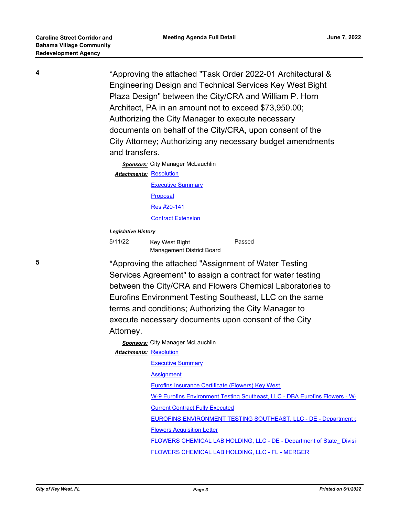**4** \*Approving the attached "Task Order 2022-01 Architectural & Engineering Design and Technical Services Key West Bight Plaza Design" between the City/CRA and William P. Horn Architect, PA in an amount not to exceed \$73,950.00; Authorizing the City Manager to execute necessary documents on behalf of the City/CRA, upon consent of the City Attorney; Authorizing any necessary budget amendments and transfers.

> **Sponsors:** City Manager McLauchlin **Attachments: [Resolution](http://KeyWest.legistar.com/gateway.aspx?M=F&ID=91054160-04ab-4244-80f8-9b93e59cdf68.pdf) [Executive Summary](http://KeyWest.legistar.com/gateway.aspx?M=F&ID=f9b694eb-5fdc-40c3-89b9-81ab96796245.pdf)** [Proposal](http://KeyWest.legistar.com/gateway.aspx?M=F&ID=3b99ae3b-e86a-4d59-9110-1c79d068fae2.pdf) [Res #20-141](http://KeyWest.legistar.com/gateway.aspx?M=F&ID=0a72eaa0-a29d-4680-a182-cdf2ea883005.pdf) [Contract Extension](http://KeyWest.legistar.com/gateway.aspx?M=F&ID=792bb6ff-0067-4fcc-909f-39b7c5dd054b.pdf)

#### *Legislative History*

| 5/11/22 | Key West Bight            | Passed |
|---------|---------------------------|--------|
|         | Management District Board |        |

**5** \*Approving the attached "Assignment of Water Testing Services Agreement" to assign a contract for water testing between the City/CRA and Flowers Chemical Laboratories to Eurofins Environment Testing Southeast, LLC on the same terms and conditions; Authorizing the City Manager to execute necessary documents upon consent of the City Attorney.

> *Sponsors:* City Manager McLauchlin Attachments: [Resolution](http://KeyWest.legistar.com/gateway.aspx?M=F&ID=0d25b4ab-8f4a-4318-9ca0-357264a16459.pdf) [Executive Summary](http://KeyWest.legistar.com/gateway.aspx?M=F&ID=3d5cab0e-9b2d-4dca-914c-94c31296c085.pdf) **[Assignment](http://KeyWest.legistar.com/gateway.aspx?M=F&ID=3224b1c4-3cf1-4691-8a4a-2ce2498ad103.pdf)** [Eurofins Insurance Certificate \(Flowers\) Key West](http://KeyWest.legistar.com/gateway.aspx?M=F&ID=28b9769e-8150-409d-b6f7-a6042547f60e.pdf) [W-9 Eurofins Environment Testing Southeast, LLC - DBA Eurofins Flowers - W-](http://KeyWest.legistar.com/gateway.aspx?M=F&ID=5724ae0e-70e9-4d4b-a968-26652827a0c2.pdf) [Current Contract Fully Executed](http://KeyWest.legistar.com/gateway.aspx?M=F&ID=bf96ed10-603a-461a-83eb-be518d58bc6f.pdf) [EUROFINS ENVIRONMENT TESTING SOUTHEAST, LLC - DE - Department o](http://KeyWest.legistar.com/gateway.aspx?M=F&ID=515a2304-ccdf-4b0b-bae5-a1bea15c6c6e.pdf)f [Flowers Acquisition Letter](http://KeyWest.legistar.com/gateway.aspx?M=F&ID=83986c5a-6b3e-40f6-8192-f1fc5b12e1ee.pdf) FLOWERS CHEMICAL LAB HOLDING, LLC - DE - Department of State Division [FLOWERS CHEMICAL LAB HOLDING, LLC - FL - MERGER](http://KeyWest.legistar.com/gateway.aspx?M=F&ID=d4860ddd-3901-42b3-9736-220f77def6ec.pdf)